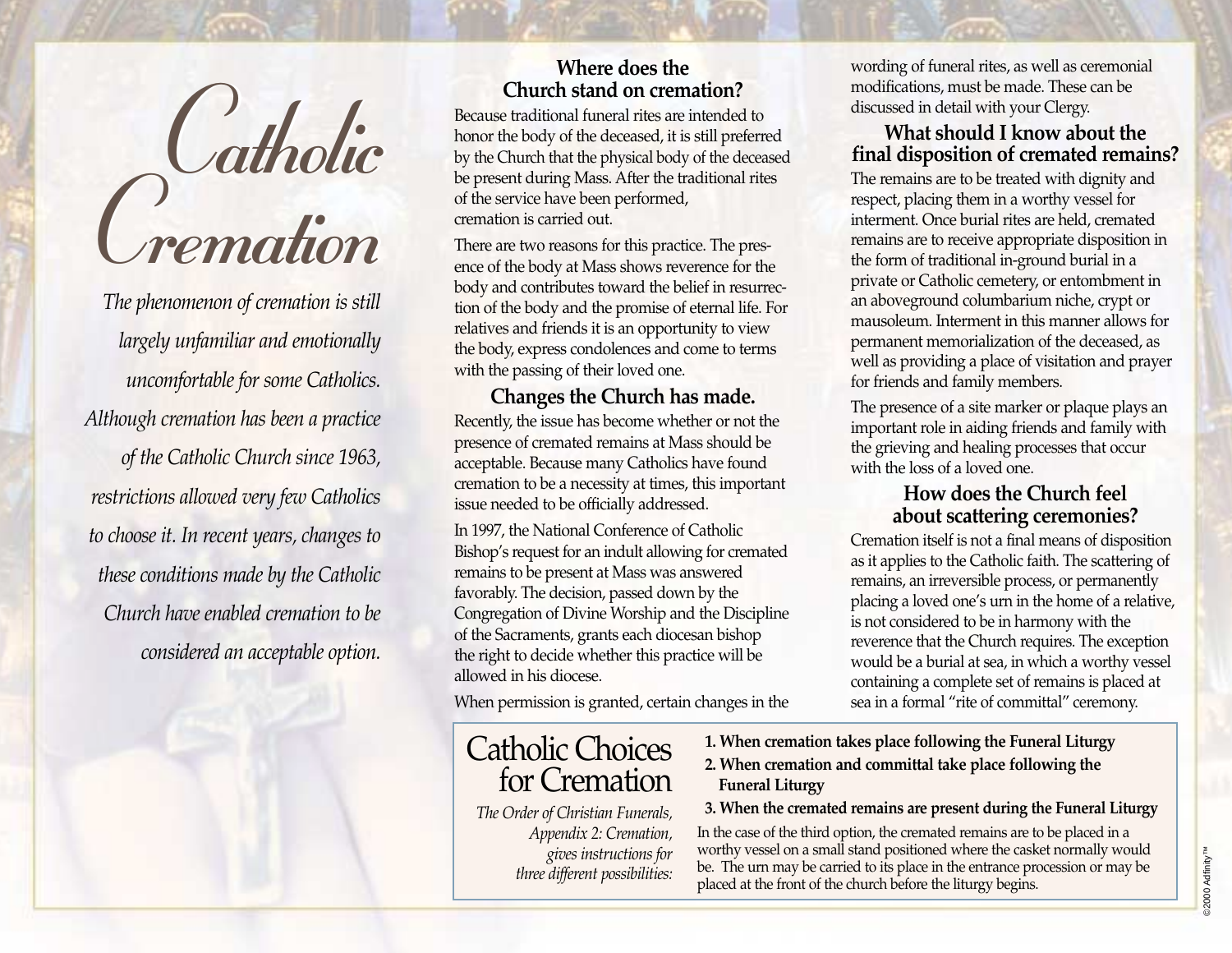

*The phenomenon of cremation is still largely unfamiliar and emotionally uncomfortable for some Catholics. Although cremation has been a practice of the Catholic Church since 1963, restrictions allowed very few Catholics to choose it. In recent years, changes to these conditions made by the Catholic Church have enabled cremation to be considered an acceptable option.*

### **Where does the Church stand on cremation?**

Because traditional funeral rites are intended to honor the body of the deceased, it is still preferred by the Church that the physical body of the deceased be present during Mass. After the traditional rites of the service have been performed, cremation is carried out.

There are two reasons for this practice. The presence of the body at Mass shows reverence for the body and contributes toward the belief in resurrection of the body and the promise of eternal life. For relatives and friends it is an opportunity to view the body, express condolences and come to terms with the passing of their loved one.

**Changes the Church has made.** Recently, the issue has become whether or not the presence of cremated remains at Mass should be acceptable. Because many Catholics have found cremation to be a necessity at times, this important issue needed to be officially addressed.

In 1997, the National Conference of Catholic Bishop's request for an indult allowing for cremated remains to be present at Mass was answered favorably. The decision, passed down by the Congregation of Divine Worship and the Discipline of the Sacraments, grants each diocesan bishop the right to decide whether this practice will be allowed in his diocese.

When permission is granted, certain changes in the

# Catholic Choices for Cremation

*The Order of Christian Funerals, Appendix 2: Cremation, gives instructions for three different possibilities:* wording of funeral rites, as well as ceremonial modifications, must be made. These can be discussed in detail with your Clergy.

**What should I know about the final disposition of cremated remains?** The remains are to be treated with dignity and respect, placing them in a worthy vessel for interment. Once burial rites are held, cremated remains are to receive appropriate disposition in the form of traditional in-ground burial in a private or Catholic cemetery, or entombment in an aboveground columbarium niche, crypt or mausoleum. Interment in this manner allows for permanent memorialization of the deceased, as well as providing a place of visitation and prayer for friends and family members.

The presence of a site marker or plaque plays an important role in aiding friends and family with the grieving and healing processes that occur with the loss of a loved one.

### **How does the Church feel about scattering ceremonies?**

Cremation itself is not a final means of disposition as it applies to the Catholic faith. The scattering of remains, an irreversible process, or permanently placing a loved one's urn in the home of a relative, is not considered to be in harmony with the reverence that the Church requires. The exception would be a burial at sea, in which a worthy vessel containing a complete set of remains is placed at sea in a formal "rite of committal" ceremony.

- **1. When cremation takes place following the Funeral Liturgy**
- **2. When cremation and committal take place following the Funeral Liturgy**

#### **3. When the cremated remains are present during the Funeral Liturgy**

In the case of the third option, the cremated remains are to be placed in a worthy vessel on a small stand positioned where the casket normally would be. The urn may be carried to its place in the entrance procession or may be placed at the front of the church before the liturgy begins.